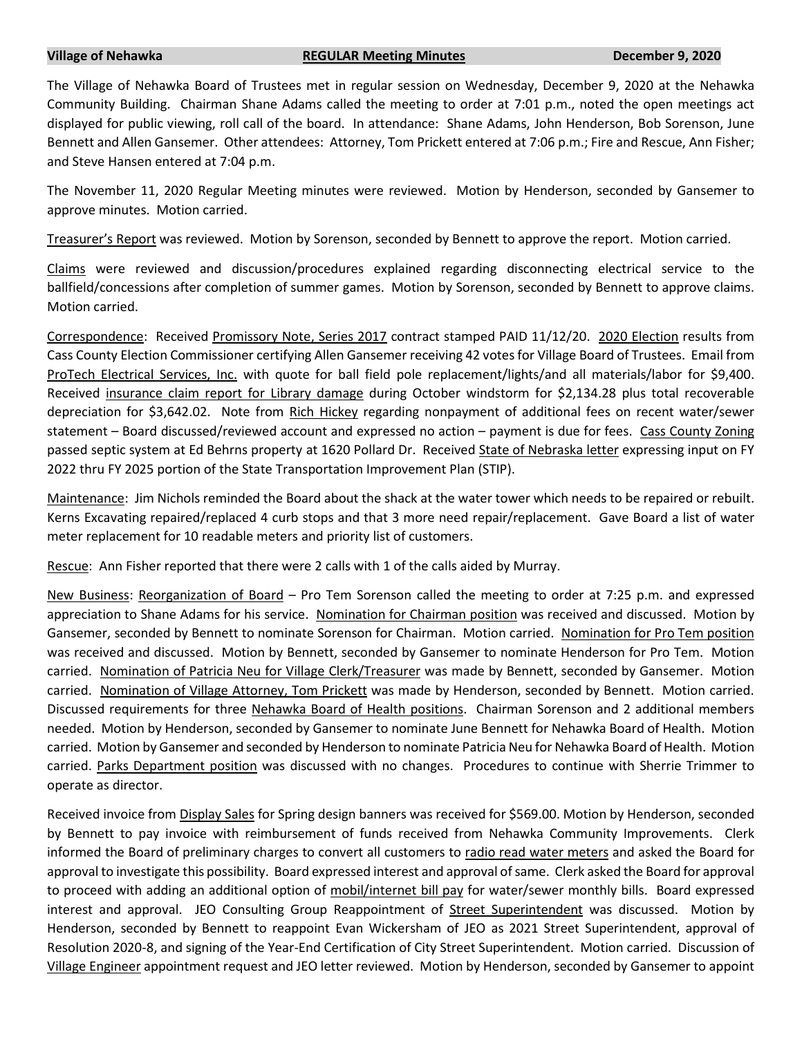## **Village of Nehawka REGULAR Meeting Minutes December 9, 2020**

The Village of Nehawka Board of Trustees met in regular session on Wednesday, December 9, 2020 at the Nehawka Community Building. Chairman Shane Adams called the meeting to order at 7:01 p.m., noted the open meetings act displayed for public viewing, roll call of the board. In attendance: Shane Adams, John Henderson, Bob Sorenson, June Bennett and Allen Gansemer. Other attendees: Attorney, Tom Prickett entered at 7:06 p.m.; Fire and Rescue, Ann Fisher; and Steve Hansen entered at 7:04 p.m.

The November 11, 2020 Regular Meeting minutes were reviewed. Motion by Henderson, seconded by Gansemer to approve minutes. Motion carried.

Treasurer's Report was reviewed. Motion by Sorenson, seconded by Bennett to approve the report. Motion carried.

Claims were reviewed and discussion/procedures explained regarding disconnecting electrical service to the ballfield/concessions after completion of summer games. Motion by Sorenson, seconded by Bennett to approve claims. Motion carried.

Correspondence: Received Promissory Note, Series 2017 contract stamped PAID 11/12/20. 2020 Election results from Cass County Election Commissioner certifying Allen Gansemer receiving 42 votes for Village Board of Trustees. Email from ProTech Electrical Services, Inc. with quote for ball field pole replacement/lights/and all materials/labor for \$9,400. Received insurance claim report for Library damage during October windstorm for \$2,134.28 plus total recoverable depreciation for \$3,642.02. Note from Rich Hickey regarding nonpayment of additional fees on recent water/sewer statement – Board discussed/reviewed account and expressed no action – payment is due for fees. Cass County Zoning passed septic system at Ed Behrns property at 1620 Pollard Dr. Received State of Nebraska letter expressing input on FY 2022 thru FY 2025 portion of the State Transportation Improvement Plan (STIP).

Maintenance: Jim Nichols reminded the Board about the shack at the water tower which needs to be repaired or rebuilt. Kerns Excavating repaired/replaced 4 curb stops and that 3 more need repair/replacement. Gave Board a list of water meter replacement for 10 readable meters and priority list of customers.

Rescue: Ann Fisher reported that there were 2 calls with 1 of the calls aided by Murray.

New Business: Reorganization of Board – Pro Tem Sorenson called the meeting to order at 7:25 p.m. and expressed appreciation to Shane Adams for his service. Nomination for Chairman position was received and discussed. Motion by Gansemer, seconded by Bennett to nominate Sorenson for Chairman. Motion carried. Nomination for Pro Tem position was received and discussed. Motion by Bennett, seconded by Gansemer to nominate Henderson for Pro Tem. Motion carried. Nomination of Patricia Neu for Village Clerk/Treasurer was made by Bennett, seconded by Gansemer. Motion carried. Nomination of Village Attorney, Tom Prickett was made by Henderson, seconded by Bennett. Motion carried. Discussed requirements for three Nehawka Board of Health positions. Chairman Sorenson and 2 additional members needed. Motion by Henderson, seconded by Gansemer to nominate June Bennett for Nehawka Board of Health. Motion carried. Motion by Gansemer and seconded by Henderson to nominate Patricia Neu for Nehawka Board of Health. Motion carried. Parks Department position was discussed with no changes. Procedures to continue with Sherrie Trimmer to operate as director.

Received invoice from Display Sales for Spring design banners was received for \$569.00. Motion by Henderson, seconded by Bennett to pay invoice with reimbursement of funds received from Nehawka Community Improvements. Clerk informed the Board of preliminary charges to convert all customers to radio read water meters and asked the Board for approval to investigate this possibility. Board expressed interest and approval of same. Clerk asked the Board for approval to proceed with adding an additional option of mobil/internet bill pay for water/sewer monthly bills. Board expressed interest and approval. JEO Consulting Group Reappointment of Street Superintendent was discussed. Motion by Henderson, seconded by Bennett to reappoint Evan Wickersham of JEO as 2021 Street Superintendent, approval of Resolution 2020-8, and signing of the Year-End Certification of City Street Superintendent. Motion carried. Discussion of Village Engineer appointment request and JEO letter reviewed. Motion by Henderson, seconded by Gansemer to appoint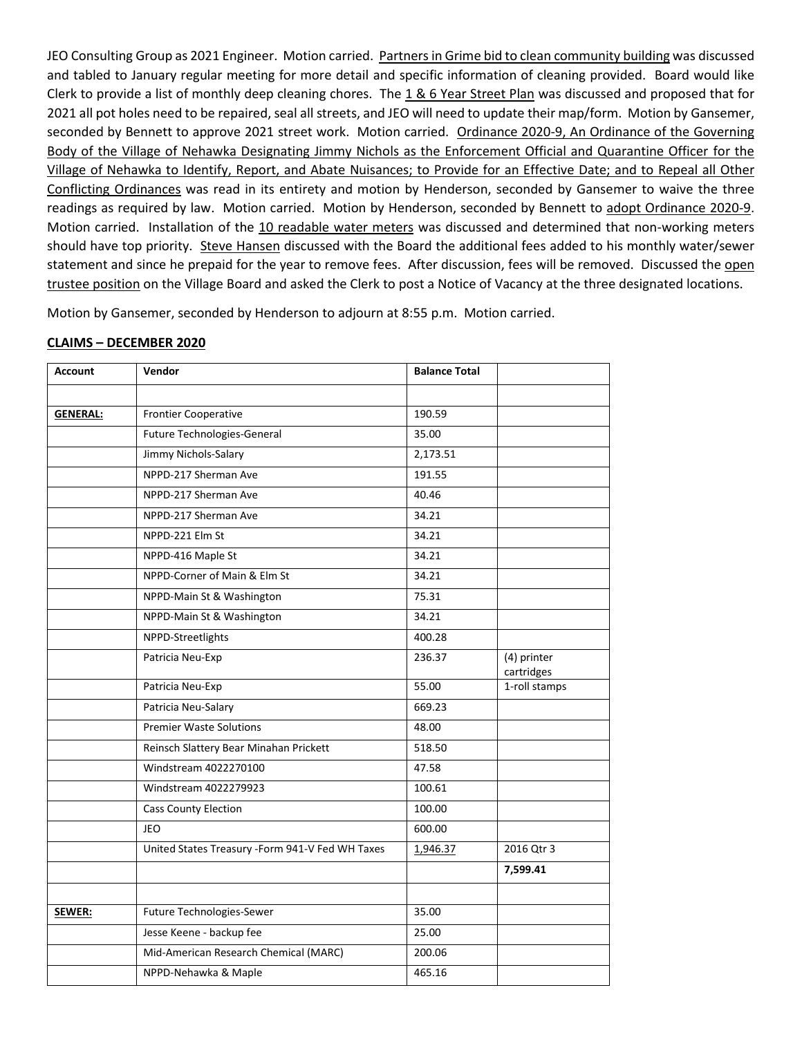JEO Consulting Group as 2021 Engineer. Motion carried. Partners in Grime bid to clean community building was discussed and tabled to January regular meeting for more detail and specific information of cleaning provided. Board would like Clerk to provide a list of monthly deep cleaning chores. The 1 & 6 Year Street Plan was discussed and proposed that for 2021 all pot holes need to be repaired, seal all streets, and JEO will need to update their map/form. Motion by Gansemer, seconded by Bennett to approve 2021 street work. Motion carried. Ordinance 2020-9, An Ordinance of the Governing Body of the Village of Nehawka Designating Jimmy Nichols as the Enforcement Official and Quarantine Officer for the Village of Nehawka to Identify, Report, and Abate Nuisances; to Provide for an Effective Date; and to Repeal all Other Conflicting Ordinances was read in its entirety and motion by Henderson, seconded by Gansemer to waive the three readings as required by law. Motion carried. Motion by Henderson, seconded by Bennett to adopt Ordinance 2020-9. Motion carried. Installation of the 10 readable water meters was discussed and determined that non-working meters should have top priority. Steve Hansen discussed with the Board the additional fees added to his monthly water/sewer statement and since he prepaid for the year to remove fees. After discussion, fees will be removed. Discussed the open trustee position on the Village Board and asked the Clerk to post a Notice of Vacancy at the three designated locations.

Motion by Gansemer, seconded by Henderson to adjourn at 8:55 p.m. Motion carried.

| <b>Account</b>  | Vendor                                          | <b>Balance Total</b> |                           |
|-----------------|-------------------------------------------------|----------------------|---------------------------|
|                 |                                                 |                      |                           |
| <b>GENERAL:</b> | <b>Frontier Cooperative</b>                     | 190.59               |                           |
|                 | Future Technologies-General                     | 35.00                |                           |
|                 | Jimmy Nichols-Salary                            | 2,173.51             |                           |
|                 | NPPD-217 Sherman Ave                            | 191.55               |                           |
|                 | NPPD-217 Sherman Ave                            | 40.46                |                           |
|                 | NPPD-217 Sherman Ave                            | 34.21                |                           |
|                 | NPPD-221 Elm St                                 | 34.21                |                           |
|                 | NPPD-416 Maple St                               | 34.21                |                           |
|                 | NPPD-Corner of Main & Elm St                    | 34.21                |                           |
|                 | NPPD-Main St & Washington                       | 75.31                |                           |
|                 | NPPD-Main St & Washington                       | 34.21                |                           |
|                 | NPPD-Streetlights                               | 400.28               |                           |
|                 | Patricia Neu-Exp                                | 236.37               | (4) printer<br>cartridges |
|                 | Patricia Neu-Exp                                | 55.00                | 1-roll stamps             |
|                 | Patricia Neu-Salary                             | 669.23               |                           |
|                 | <b>Premier Waste Solutions</b>                  | 48.00                |                           |
|                 | Reinsch Slattery Bear Minahan Prickett          | 518.50               |                           |
|                 | Windstream 4022270100                           | 47.58                |                           |
|                 | Windstream 4022279923                           | 100.61               |                           |
|                 | <b>Cass County Election</b>                     | 100.00               |                           |
|                 | <b>JEO</b>                                      | 600.00               |                           |
|                 | United States Treasury -Form 941-V Fed WH Taxes | 1,946.37             | 2016 Qtr 3                |
|                 |                                                 |                      | 7,599.41                  |
|                 |                                                 |                      |                           |
| SEWER:          | Future Technologies-Sewer                       | 35.00                |                           |
|                 | Jesse Keene - backup fee                        | 25.00                |                           |
|                 | Mid-American Research Chemical (MARC)           | 200.06               |                           |
|                 | NPPD-Nehawka & Maple                            | 465.16               |                           |

## **CLAIMS – DECEMBER 2020**